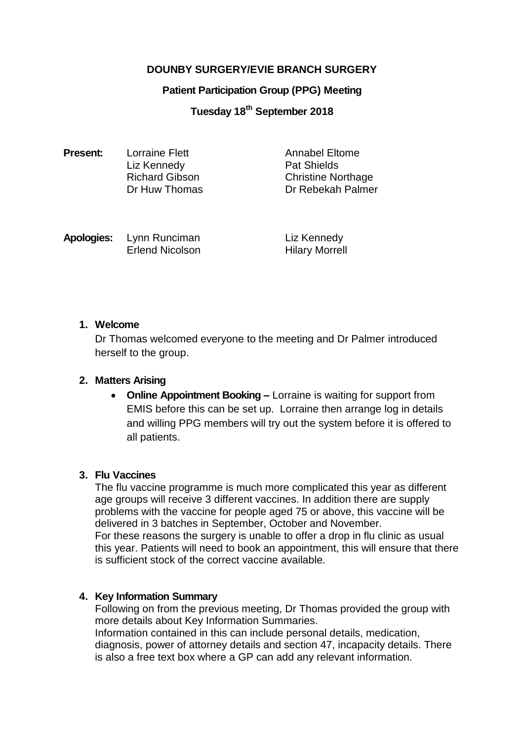# **DOUNBY SURGERY/EVIE BRANCH SURGERY**

#### **Patient Participation Group (PPG) Meeting**

# **Tuesday 18 th September 2018**

| <b>Present:</b> | <b>Lorraine Flett</b> | Annabel Eltome            |
|-----------------|-----------------------|---------------------------|
|                 | Liz Kennedy           | <b>Pat Shields</b>        |
|                 | <b>Richard Gibson</b> | <b>Christine Northage</b> |
|                 | Dr Huw Thomas         | Dr Rebekah Palmer         |
|                 |                       |                           |

| Apologies: | Lynn Runciman          |  |
|------------|------------------------|--|
|            | <b>Erlend Nicolson</b> |  |

**Liz Kennedy** Hilary Morrell

### **1. Welcome**

Dr Thomas welcomed everyone to the meeting and Dr Palmer introduced herself to the group.

### **2. Matters Arising**

 **Online Appointment Booking –** Lorraine is waiting for support from EMIS before this can be set up. Lorraine then arrange log in details and willing PPG members will try out the system before it is offered to all patients.

#### **3. Flu Vaccines**

The flu vaccine programme is much more complicated this year as different age groups will receive 3 different vaccines. In addition there are supply problems with the vaccine for people aged 75 or above, this vaccine will be delivered in 3 batches in September, October and November. For these reasons the surgery is unable to offer a drop in flu clinic as usual this year. Patients will need to book an appointment, this will ensure that there is sufficient stock of the correct vaccine available.

### **4. Key Information Summary**

Following on from the previous meeting, Dr Thomas provided the group with more details about Key Information Summaries.

Information contained in this can include personal details, medication, diagnosis, power of attorney details and section 47, incapacity details. There is also a free text box where a GP can add any relevant information.